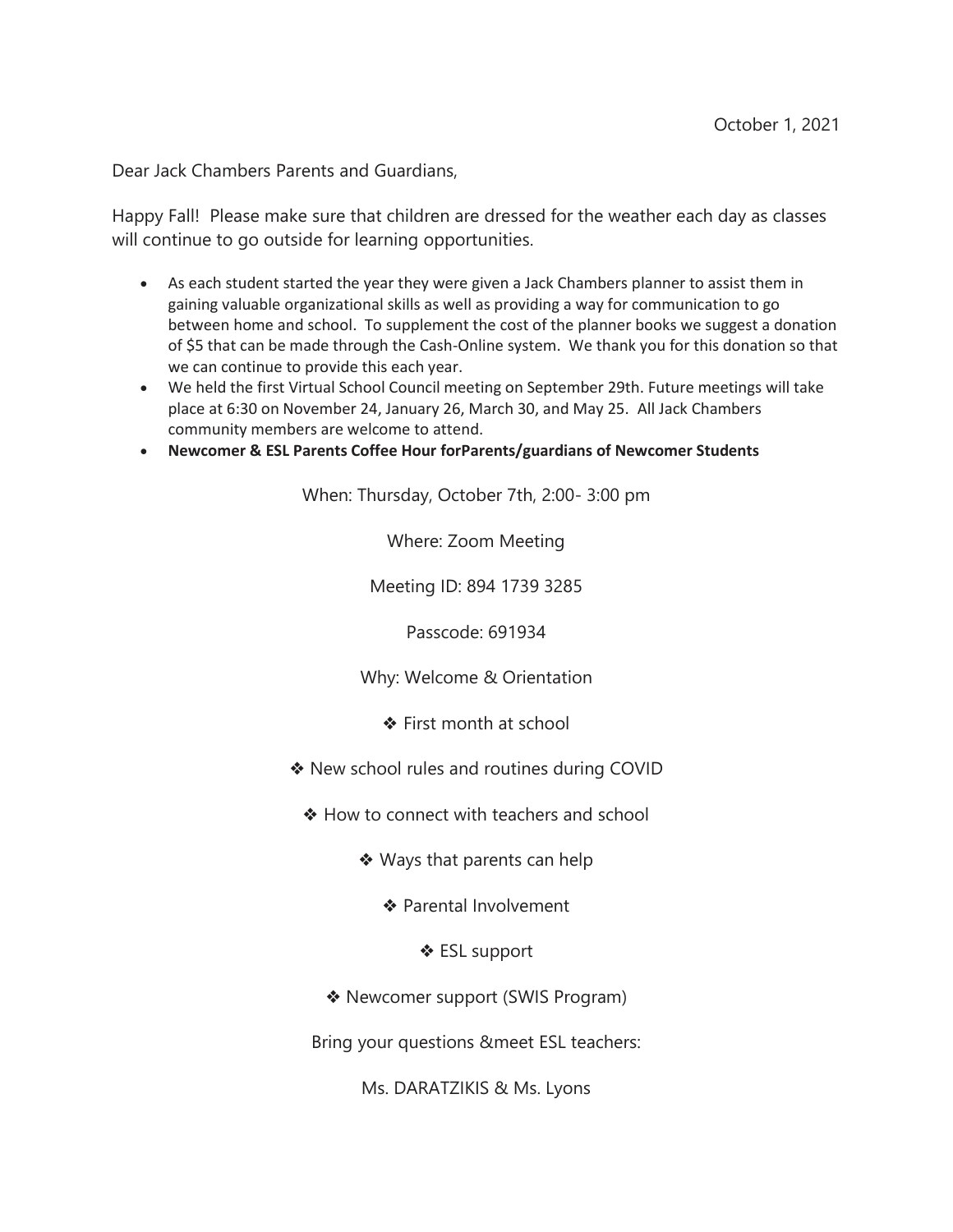Dear Jack Chambers Parents and Guardians,

Happy Fall! Please make sure that children are dressed for the weather each day as classes will continue to go outside for learning opportunities.

- As each student started the year they were given a Jack Chambers planner to assist them in gaining valuable organizational skills as well as providing a way for communication to go between home and school. To supplement the cost of the planner books we suggest a donation of \$5 that can be made through the Cash-Online system. We thank you for this donation so that we can continue to provide this each year.
- We held the first Virtual School Council meeting on September 29th. Future meetings will take place at 6:30 on November 24, January 26, March 30, and May 25. All Jack Chambers community members are welcome to attend.
- **Newcomer & ESL Parents Coffee Hour forParents/guardians of Newcomer Students**

When: Thursday, October 7th, 2:00- 3:00 pm

Where: Zoom Meeting

Meeting ID: 894 1739 3285

Passcode: 691934

Why: Welcome & Orientation

- ❖ First month at school
- ❖ New school rules and routines during COVID
	- ❖ How to connect with teachers and school
		- ❖ Ways that parents can help
			- ❖ Parental Involvement
				- ❖ ESL support
		- ❖ Newcomer support (SWIS Program)

Bring your questions &meet ESL teachers:

Ms. DARATZIKIS & Ms. Lyons